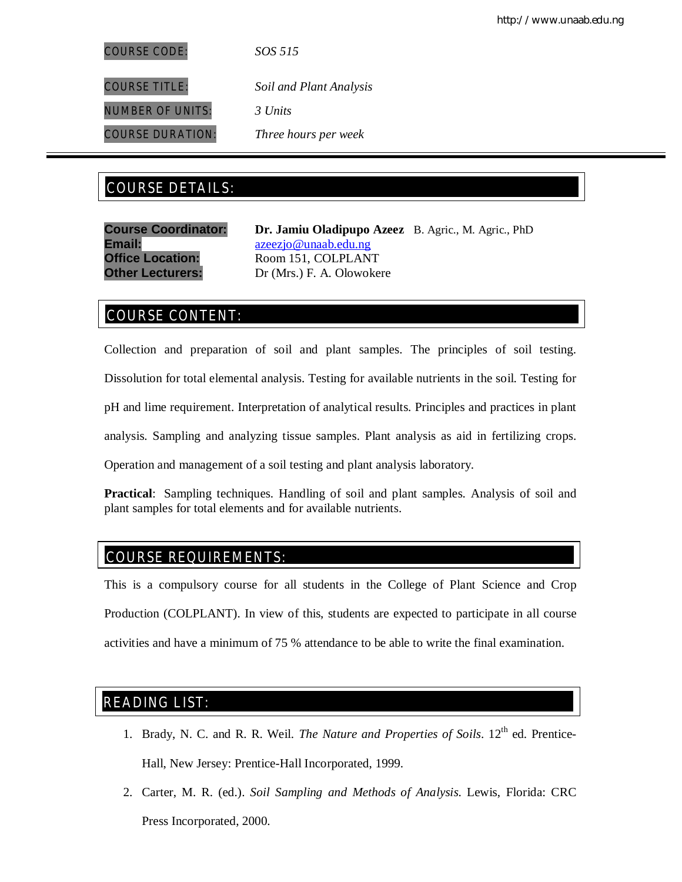COURSE CODE: *SOS 515*

COURSE TITLE: *Soil and Plant Analysis*

NUMBER OF UNITS: *3 Units*

COURSE DURATION: *Three hours per week*

# COURSE DETAILS: COURSE DETAILS:

**Email:** azeezjo@unaab.edu.ng

**Course Coordinator: Dr. Jamiu Oladipupo Azeez** B. Agric., M. Agric., PhD **Office Location:** Room 151, COLPLANT **Other Lecturers:** Dr (Mrs.) F. A. Olowokere

# COURSE CONTENT:

Collection and preparation of soil and plant samples. The principles of soil testing.

Dissolution for total elemental analysis. Testing for available nutrients in the soil. Testing for

pH and lime requirement. Interpretation of analytical results. Principles and practices in plant

analysis. Sampling and analyzing tissue samples. Plant analysis as aid in fertilizing crops.

Operation and management of a soil testing and plant analysis laboratory.

**Practical**: Sampling techniques. Handling of soil and plant samples. Analysis of soil and plant samples for total elements and for available nutrients.

## COURSE REQUIREMENTS:

This is a compulsory course for all students in the College of Plant Science and Crop Production (COLPLANT). In view of this, students are expected to participate in all course activities and have a minimum of 75 % attendance to be able to write the final examination.

## READING LIST:

- 1. Brady, N. C. and R. R. Weil. *The Nature and Properties of Soils*. 12<sup>th</sup> ed. Prentice-Hall, New Jersey: Prentice-Hall Incorporated, 1999.
- 2. Carter, M. R. (ed.). *Soil Sampling and Methods of Analysis*. Lewis, Florida: CRC Press Incorporated, 2000.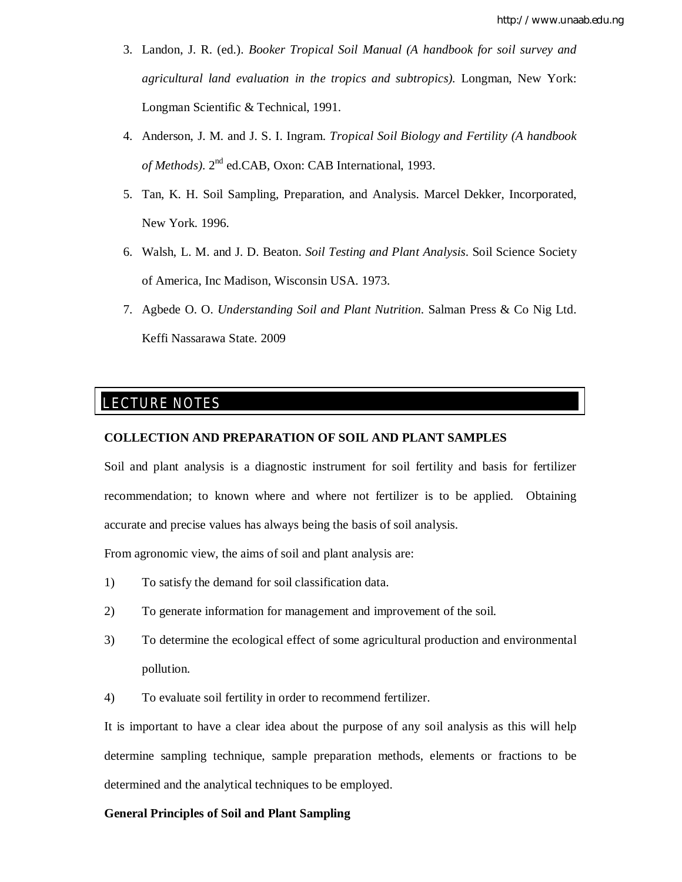- 3. Landon, J. R. (ed.). *Booker Tropical Soil Manual (A handbook for soil survey and agricultural land evaluation in the tropics and subtropics).* Longman, New York: Longman Scientific & Technical, 1991.
- 4. Anderson, J. M. and J. S. I. Ingram. *Tropical Soil Biology and Fertility (A handbook*  of Methods). 2<sup>nd</sup> ed.CAB, Oxon: CAB International, 1993.
- 5. Tan, K. H. Soil Sampling, Preparation, and Analysis. Marcel Dekker, Incorporated, New York. 1996.
- 6. Walsh, L. M. and J. D. Beaton. *Soil Testing and Plant Analysis*. Soil Science Society of America, Inc Madison, Wisconsin USA. 1973.
- 7. Agbede O. O. *Understanding Soil and Plant Nutrition*. Salman Press & Co Nig Ltd. Keffi Nassarawa State. 2009

## LECTURE NOTES

E

#### **COLLECTION AND PREPARATION OF SOIL AND PLANT SAMPLES**

Soil and plant analysis is a diagnostic instrument for soil fertility and basis for fertilizer recommendation; to known where and where not fertilizer is to be applied. Obtaining accurate and precise values has always being the basis of soil analysis.

From agronomic view, the aims of soil and plant analysis are:

- 1) To satisfy the demand for soil classification data.
- 2) To generate information for management and improvement of the soil.
- 3) To determine the ecological effect of some agricultural production and environmental pollution.

4) To evaluate soil fertility in order to recommend fertilizer.

It is important to have a clear idea about the purpose of any soil analysis as this will help determine sampling technique, sample preparation methods, elements or fractions to be determined and the analytical techniques to be employed.

#### **General Principles of Soil and Plant Sampling**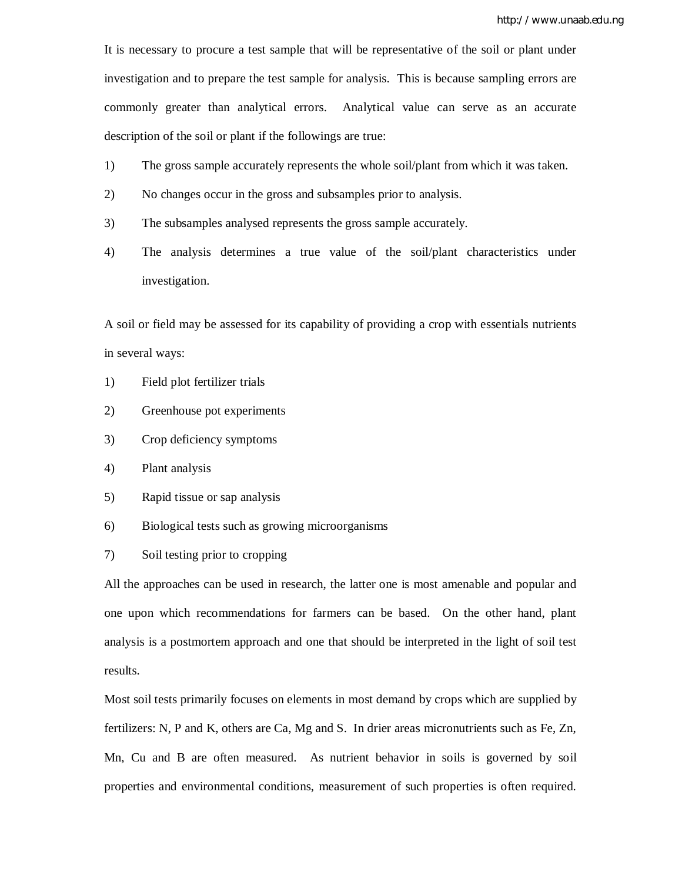It is necessary to procure a test sample that will be representative of the soil or plant under investigation and to prepare the test sample for analysis. This is because sampling errors are commonly greater than analytical errors. Analytical value can serve as an accurate description of the soil or plant if the followings are true:

- 1) The gross sample accurately represents the whole soil/plant from which it was taken.
- 2) No changes occur in the gross and subsamples prior to analysis.
- 3) The subsamples analysed represents the gross sample accurately.
- 4) The analysis determines a true value of the soil/plant characteristics under investigation.

A soil or field may be assessed for its capability of providing a crop with essentials nutrients in several ways:

- 1) Field plot fertilizer trials
- 2) Greenhouse pot experiments
- 3) Crop deficiency symptoms
- 4) Plant analysis
- 5) Rapid tissue or sap analysis
- 6) Biological tests such as growing microorganisms
- 7) Soil testing prior to cropping

All the approaches can be used in research, the latter one is most amenable and popular and one upon which recommendations for farmers can be based. On the other hand, plant analysis is a postmortem approach and one that should be interpreted in the light of soil test results.

Most soil tests primarily focuses on elements in most demand by crops which are supplied by fertilizers: N, P and K, others are Ca, Mg and S. In drier areas micronutrients such as Fe, Zn, Mn, Cu and B are often measured. As nutrient behavior in soils is governed by soil properties and environmental conditions, measurement of such properties is often required.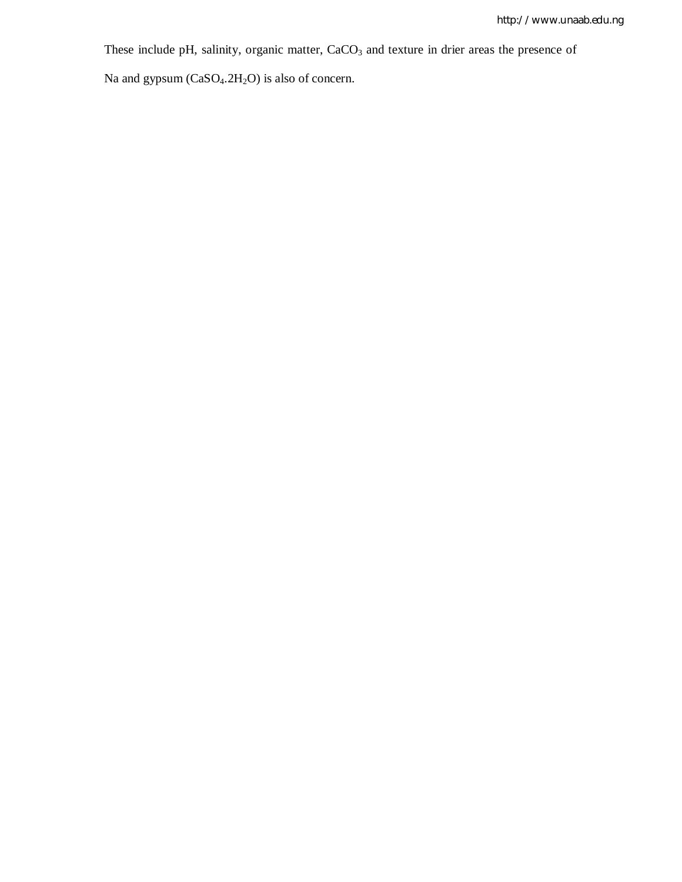These include pH, salinity, organic matter, CaCO<sub>3</sub> and texture in drier areas the presence of

Na and gypsum (CaSO<sub>4</sub>.2H<sub>2</sub>O) is also of concern.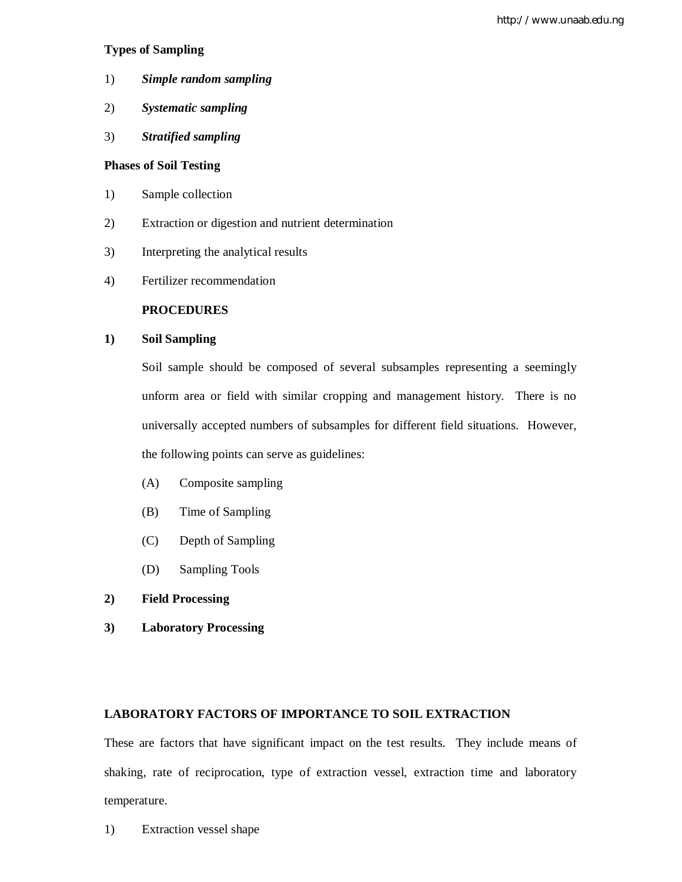## **Types of Sampling**

- 1) *Simple random sampling*
- 2) *Systematic sampling*
- 3) *Stratified sampling*

## **Phases of Soil Testing**

- 1) Sample collection
- 2) Extraction or digestion and nutrient determination
- 3) Interpreting the analytical results
- 4) Fertilizer recommendation

## **PROCEDURES**

## **1) Soil Sampling**

Soil sample should be composed of several subsamples representing a seemingly unform area or field with similar cropping and management history. There is no universally accepted numbers of subsamples for different field situations. However, the following points can serve as guidelines:

- (A) Composite sampling
- (B) Time of Sampling
- (C) Depth of Sampling
- (D) Sampling Tools
- **2) Field Processing**
- **3) Laboratory Processing**

## **LABORATORY FACTORS OF IMPORTANCE TO SOIL EXTRACTION**

These are factors that have significant impact on the test results. They include means of shaking, rate of reciprocation, type of extraction vessel, extraction time and laboratory temperature.

1) Extraction vessel shape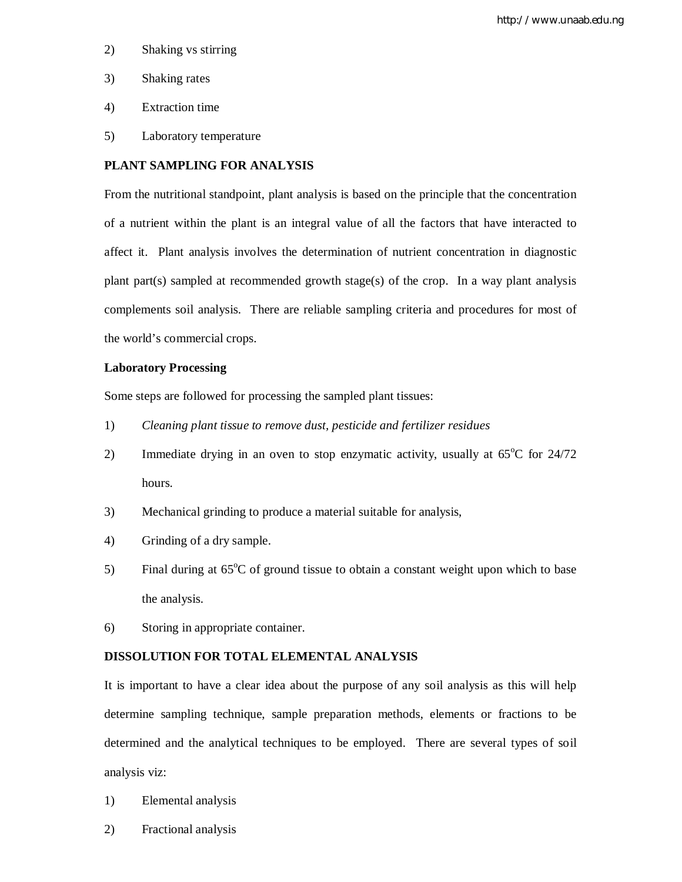- 2) Shaking vs stirring
- 3) Shaking rates
- 4) Extraction time
- 5) Laboratory temperature

#### **PLANT SAMPLING FOR ANALYSIS**

From the nutritional standpoint, plant analysis is based on the principle that the concentration of a nutrient within the plant is an integral value of all the factors that have interacted to affect it. Plant analysis involves the determination of nutrient concentration in diagnostic plant part(s) sampled at recommended growth stage(s) of the crop. In a way plant analysis complements soil analysis. There are reliable sampling criteria and procedures for most of the world's commercial crops.

#### **Laboratory Processing**

Some steps are followed for processing the sampled plant tissues:

- 1) *Cleaning plant tissue to remove dust, pesticide and fertilizer residues*
- 2) Immediate drying in an oven to stop enzymatic activity, usually at  $65^{\circ}$ C for  $24/72$ hours.
- 3) Mechanical grinding to produce a material suitable for analysis,
- 4) Grinding of a dry sample.
- 5) Final during at  $65^{\circ}$ C of ground tissue to obtain a constant weight upon which to base the analysis.
- 6) Storing in appropriate container.

## **DISSOLUTION FOR TOTAL ELEMENTAL ANALYSIS**

It is important to have a clear idea about the purpose of any soil analysis as this will help determine sampling technique, sample preparation methods, elements or fractions to be determined and the analytical techniques to be employed. There are several types of soil analysis viz:

- 1) Elemental analysis
- 2) Fractional analysis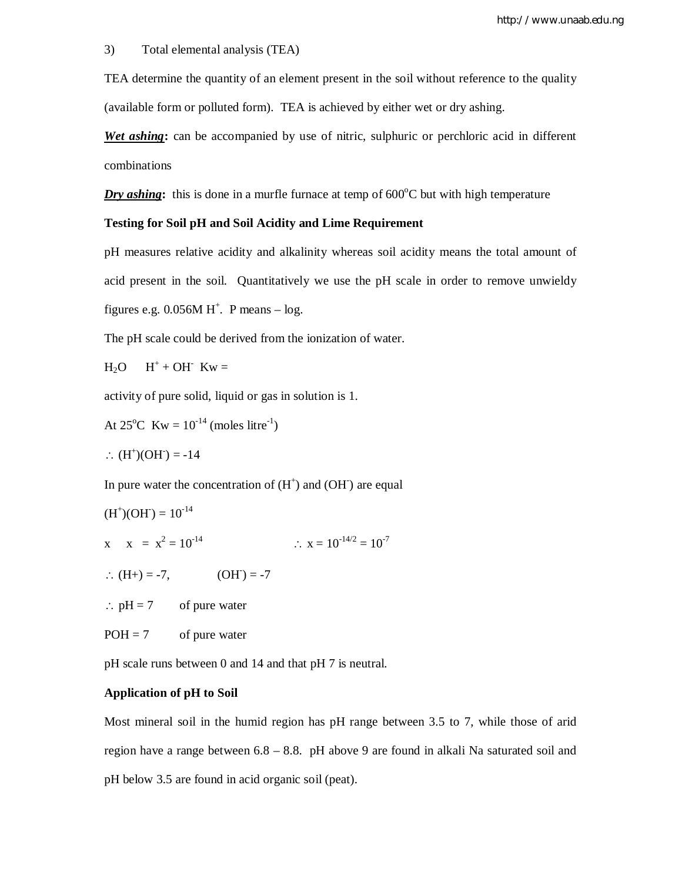#### 3) Total elemental analysis (TEA)

TEA determine the quantity of an element present in the soil without reference to the quality (available form or polluted form). TEA is achieved by either wet or dry ashing.

*Wet ashing***:** can be accompanied by use of nitric, sulphuric or perchloric acid in different combinations

*Dry ashing*: this is done in a murfle furnace at temp of  $600^{\circ}$ C but with high temperature

#### **Testing for Soil pH and Soil Acidity and Lime Requirement**

pH measures relative acidity and alkalinity whereas soil acidity means the total amount of acid present in the soil. Quantitatively we use the pH scale in order to remove unwieldy

figures e.g.  $0.056M H^+$ . P means  $- \log$ .

The pH scale could be derived from the ionization of water.

$$
H_2O \qquad H^+ + OH^- \;Kw =
$$

activity of pure solid, liquid or gas in solution is 1.

At 25<sup>o</sup>C Kw =  $10^{-14}$  (moles litre<sup>-1</sup>)

$$
\therefore (H^+)(OH^-) = -14
$$

In pure water the concentration of  $(H<sup>+</sup>)$  and  $(OH<sup>-</sup>)$  are equal

$$
(H^+)(OH) = 10^{-14}
$$

x  $x = x^2 = 10^{-14}$   $\therefore x = 10^{-14/2} = 10^{-7}$ 

$$
\therefore (H+) = -7, \qquad (OH^-) = -7
$$

 $\therefore$  pH = 7 of pure water

 $POH = 7$  of pure water

pH scale runs between 0 and 14 and that pH 7 is neutral.

#### **Application of pH to Soil**

Most mineral soil in the humid region has pH range between 3.5 to 7, while those of arid region have a range between 6.8 – 8.8. pH above 9 are found in alkali Na saturated soil and pH below 3.5 are found in acid organic soil (peat).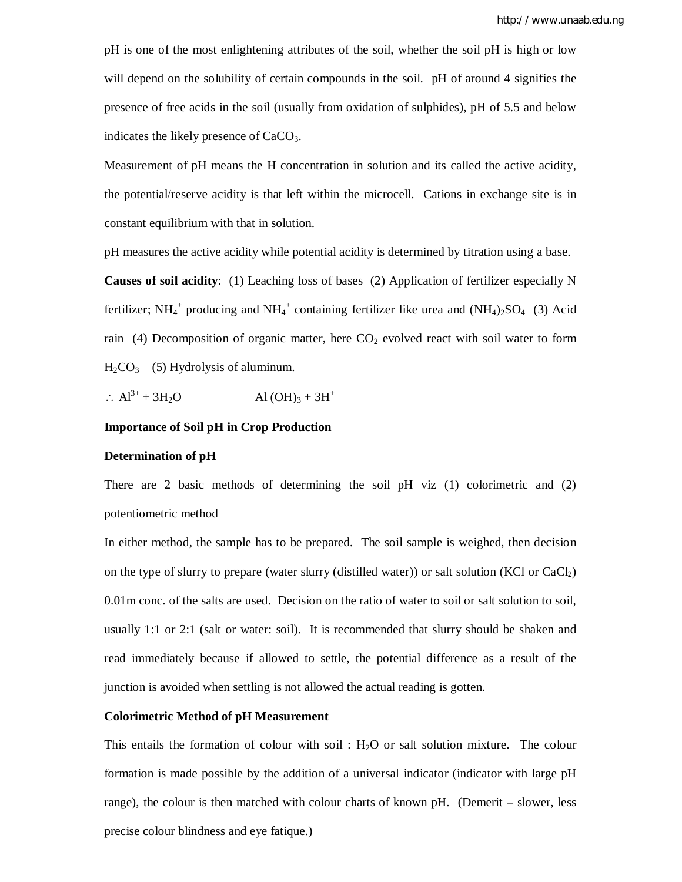pH is one of the most enlightening attributes of the soil, whether the soil pH is high or low will depend on the solubility of certain compounds in the soil. pH of around 4 signifies the presence of free acids in the soil (usually from oxidation of sulphides), pH of 5.5 and below indicates the likely presence of  $CaCO<sub>3</sub>$ .

Measurement of pH means the H concentration in solution and its called the active acidity, the potential/reserve acidity is that left within the microcell. Cations in exchange site is in constant equilibrium with that in solution.

pH measures the active acidity while potential acidity is determined by titration using a base. **Causes of soil acidity**: (1) Leaching loss of bases (2) Application of fertilizer especially N fertilizer; NH<sub>4</sub><sup>+</sup> producing and NH<sub>4</sub><sup>+</sup> containing fertilizer like urea and (NH<sub>4</sub>)<sub>2</sub>SO<sub>4</sub> (3) Acid rain (4) Decomposition of organic matter, here  $CO<sub>2</sub>$  evolved react with soil water to form  $H<sub>2</sub>CO<sub>3</sub>$  (5) Hydrolysis of aluminum.

 $\therefore$  Al<sup>3+</sup> + 3H<sub>2</sub>O Al (OH)<sub>3</sub> + 3H<sup>+</sup>

#### **Importance of Soil pH in Crop Production**

#### **Determination of pH**

There are 2 basic methods of determining the soil pH viz (1) colorimetric and (2) potentiometric method

In either method, the sample has to be prepared. The soil sample is weighed, then decision on the type of slurry to prepare (water slurry (distilled water)) or salt solution (KCl or  $CaCl<sub>2</sub>$ ) 0.01m conc. of the salts are used. Decision on the ratio of water to soil or salt solution to soil, usually 1:1 or 2:1 (salt or water: soil). It is recommended that slurry should be shaken and read immediately because if allowed to settle, the potential difference as a result of the junction is avoided when settling is not allowed the actual reading is gotten.

#### **Colorimetric Method of pH Measurement**

This entails the formation of colour with soil :  $H_2O$  or salt solution mixture. The colour formation is made possible by the addition of a universal indicator (indicator with large pH range), the colour is then matched with colour charts of known pH. (Demerit – slower, less precise colour blindness and eye fatique.)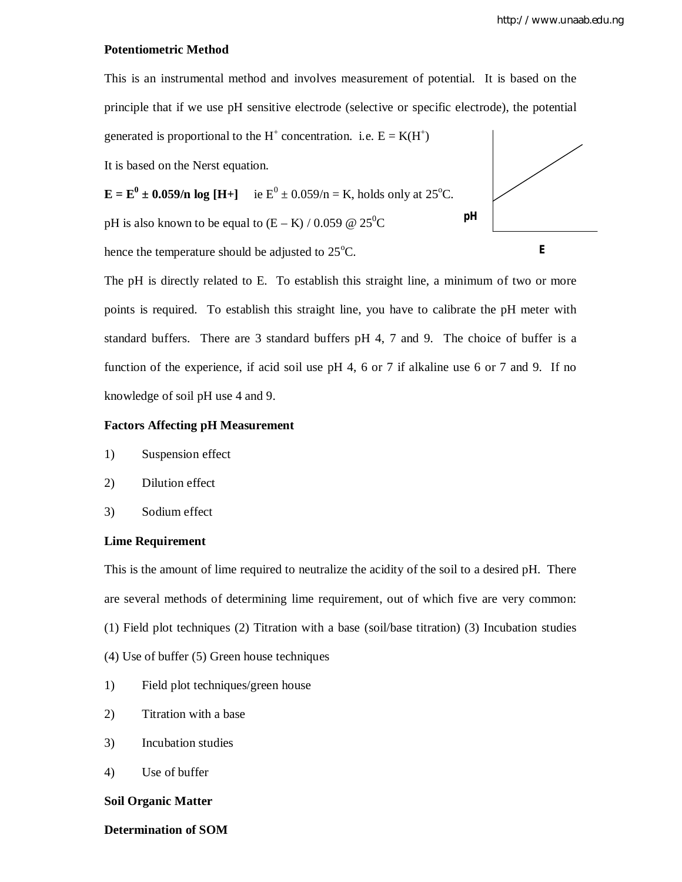#### **Potentiometric Method**



The pH is directly related to E. To establish this straight line, a minimum of two or more points is required. To establish this straight line, you have to calibrate the pH meter with standard buffers. There are 3 standard buffers pH 4, 7 and 9. The choice of buffer is a function of the experience, if acid soil use pH 4, 6 or 7 if alkaline use 6 or 7 and 9. If no knowledge of soil pH use 4 and 9.

#### **Factors Affecting pH Measurement**

- 1) Suspension effect
- 2) Dilution effect
- 3) Sodium effect

#### **Lime Requirement**

This is the amount of lime required to neutralize the acidity of the soil to a desired pH. There are several methods of determining lime requirement, out of which five are very common: (1) Field plot techniques (2) Titration with a base (soil/base titration) (3) Incubation studies (4) Use of buffer (5) Green house techniques

- 1) Field plot techniques/green house
- 2) Titration with a base
- 3) Incubation studies
- 4) Use of buffer

#### **Soil Organic Matter**

#### **Determination of SOM**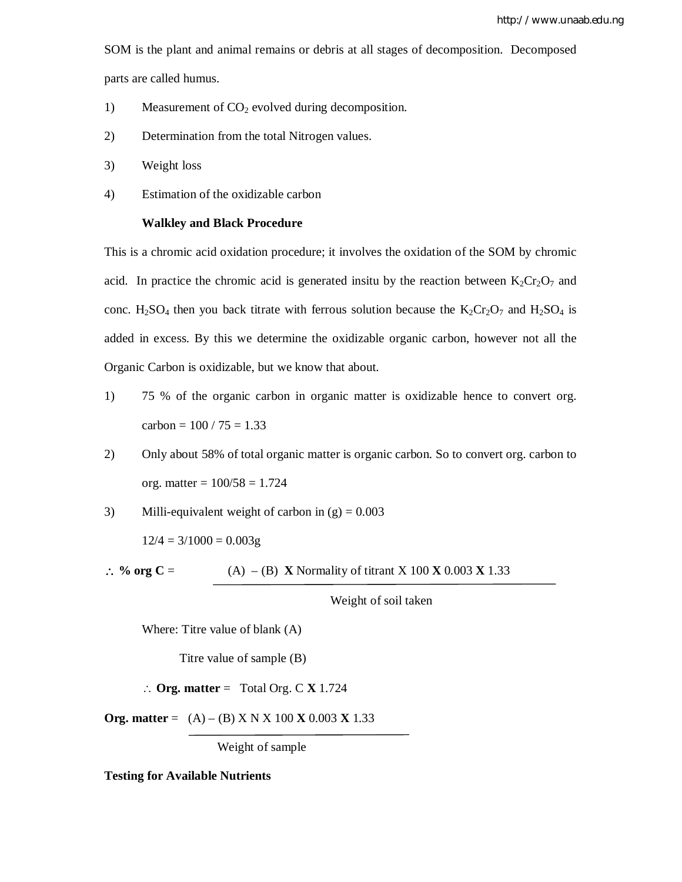SOM is the plant and animal remains or debris at all stages of decomposition. Decomposed

parts are called humus.

- 1) Measurement of  $CO<sub>2</sub>$  evolved during decomposition.
- 2) Determination from the total Nitrogen values.
- 3) Weight loss
- 4) Estimation of the oxidizable carbon

#### **Walkley and Black Procedure**

This is a chromic acid oxidation procedure; it involves the oxidation of the SOM by chromic acid. In practice the chromic acid is generated insitu by the reaction between  $K_2Cr_2O_7$  and conc.  $H_2SO_4$  then you back titrate with ferrous solution because the  $K_2Cr_2O_7$  and  $H_2SO_4$  is added in excess. By this we determine the oxidizable organic carbon, however not all the Organic Carbon is oxidizable, but we know that about.

- 1) 75 % of the organic carbon in organic matter is oxidizable hence to convert org. carbon =  $100 / 75 = 1.33$
- 2) Only about 58% of total organic matter is organic carbon. So to convert org. carbon to org. matter =  $100/58 = 1.724$
- 3) Milli-equivalent weight of carbon in  $(g) = 0.003$

 $12/4 = 3/1000 = 0.003g$ 

 $\therefore$  % org C = (A) – (B) **X** Normality of titrant X 100 **X** 0.003 **X** 1.33

Weight of soil taken

Where: Titre value of blank (A)

Titre value of sample (B)

 $\therefore$  **Org. matter** = Total Org. C **X** 1.724

**Org. matter** =  $(A) - (B)$  X N X 100 **X** 0.003 **X** 1.33

Weight of sample

**Testing for Available Nutrients**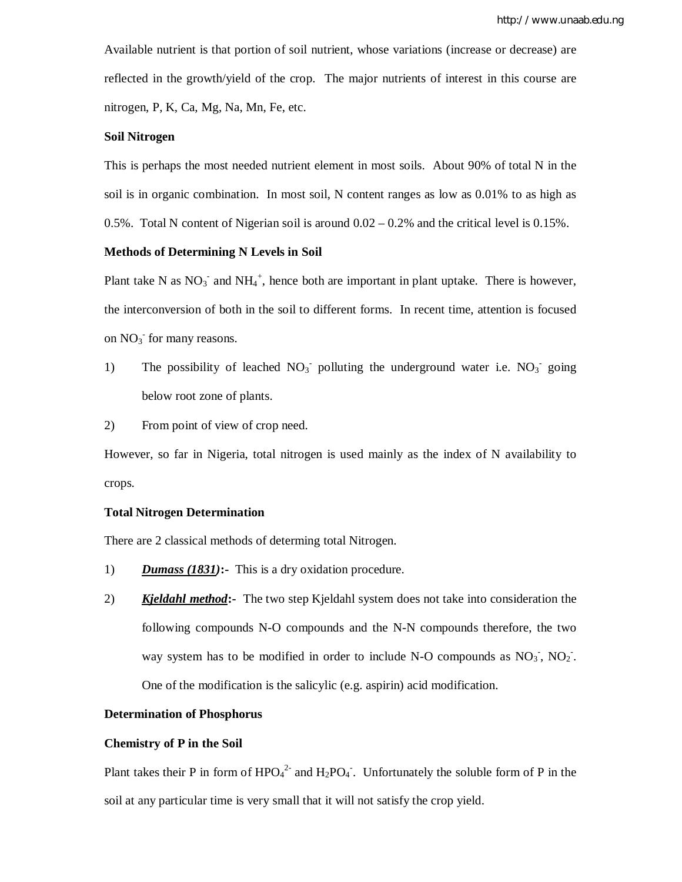Available nutrient is that portion of soil nutrient, whose variations (increase or decrease) are reflected in the growth/yield of the crop. The major nutrients of interest in this course are nitrogen, P, K, Ca, Mg, Na, Mn, Fe, etc.

#### **Soil Nitrogen**

This is perhaps the most needed nutrient element in most soils. About 90% of total N in the soil is in organic combination. In most soil, N content ranges as low as 0.01% to as high as 0.5%. Total N content of Nigerian soil is around  $0.02 - 0.2\%$  and the critical level is 0.15%.

#### **Methods of Determining N Levels in Soil**

Plant take N as  $NO_3^-$  and  $NH_4^+$ , hence both are important in plant uptake. There is however, the interconversion of both in the soil to different forms. In recent time, attention is focused on  $NO<sub>3</sub>$  for many reasons.

1) The possibility of leached  $NO<sub>3</sub>$  polluting the underground water i.e.  $NO<sub>3</sub>$  going below root zone of plants.

2) From point of view of crop need.

However, so far in Nigeria, total nitrogen is used mainly as the index of N availability to crops.

#### **Total Nitrogen Determination**

There are 2 classical methods of determing total Nitrogen.

- 1) *Dumass (1831)***:-** This is a dry oxidation procedure.
- 2) *Kjeldahl method***:-** The two step Kjeldahl system does not take into consideration the following compounds N-O compounds and the N-N compounds therefore, the two way system has to be modified in order to include N-O compounds as  $NO_3$ ,  $NO_2$ . One of the modification is the salicylic (e.g. aspirin) acid modification.

#### **Determination of Phosphorus**

#### **Chemistry of P in the Soil**

Plant takes their P in form of  $HPO<sub>4</sub><sup>2</sup>$  and  $H<sub>2</sub>PO<sub>4</sub>$ . Unfortunately the soluble form of P in the soil at any particular time is very small that it will not satisfy the crop yield.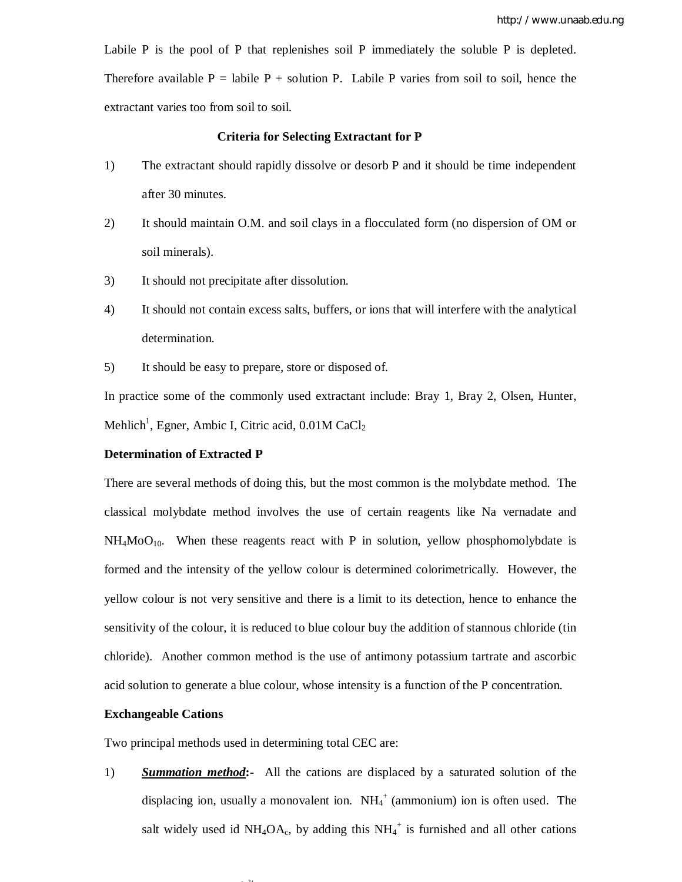Labile P is the pool of P that replenishes soil P immediately the soluble P is depleted. Therefore available  $P =$  labile  $P +$  solution P. Labile P varies from soil to soil, hence the extractant varies too from soil to soil.

#### **Criteria for Selecting Extractant for P**

- 1) The extractant should rapidly dissolve or desorb P and it should be time independent after 30 minutes.
- 2) It should maintain O.M. and soil clays in a flocculated form (no dispersion of OM or soil minerals).
- 3) It should not precipitate after dissolution.
- 4) It should not contain excess salts, buffers, or ions that will interfere with the analytical determination.
- 5) It should be easy to prepare, store or disposed of.

In practice some of the commonly used extractant include: Bray 1, Bray 2, Olsen, Hunter, Mehlich<sup>1</sup>, Egner, Ambic I, Citric acid,  $0.01$ M CaCl2

#### **Determination of Extracted P**

There are several methods of doing this, but the most common is the molybdate method. The classical molybdate method involves the use of certain reagents like Na vernadate and  $NH<sub>4</sub>MoO<sub>10</sub>$ . When these reagents react with P in solution, yellow phosphomolybdate is formed and the intensity of the yellow colour is determined colorimetrically. However, the yellow colour is not very sensitive and there is a limit to its detection, hence to enhance the sensitivity of the colour, it is reduced to blue colour buy the addition of stannous chloride (tin chloride). Another common method is the use of antimony potassium tartrate and ascorbic acid solution to generate a blue colour, whose intensity is a function of the P concentration.

#### **Exchangeable Cations**

Two principal methods used in determining total CEC are:

 $\mathcal{D}$ 

1) *Summation method***:-** All the cations are displaced by a saturated solution of the displacing ion, usually a monovalent ion.  $NH_4^+$  (ammonium) ion is often used. The salt widely used id  $NH_4OA_c$ , by adding this  $NH_4^+$  is furnished and all other cations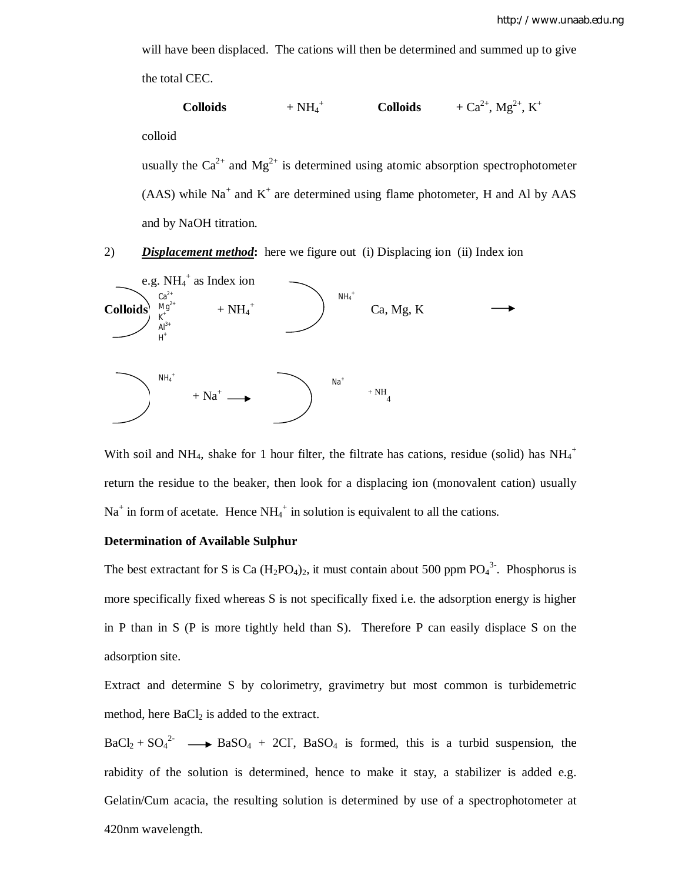will have been displaced. The cations will then be determined and summed up to give the total CEC.

$$
\textbf{Colloids} \qquad \qquad + \text{NH}_4{}^+ \qquad \qquad \textbf{Colloids} \qquad \qquad + \text{Ca}^{2+}, \text{Mg}^{2+}, \text{K}^+
$$

colloid

usually the  $Ca^{2+}$  and  $Mg^{2+}$  is determined using atomic absorption spectrophotometer  $(AAS)$  while Na<sup>+</sup> and K<sup>+</sup> are determined using flame photometer, H and Al by AAS and by NaOH titration.

2) *Displacement method***:** here we figure out (i) Displacing ion (ii) Index ion



With soil and NH<sub>4</sub>, shake for 1 hour filter, the filtrate has cations, residue (solid) has  $NH_4^+$ return the residue to the beaker, then look for a displacing ion (monovalent cation) usually  $Na<sup>+</sup>$  in form of acetate. Hence  $NH_4^+$  in solution is equivalent to all the cations.

#### **Determination of Available Sulphur**

The best extractant for S is Ca  $(H_2PO_4)_2$ , it must contain about 500 ppm  $PO_4^3$ . Phosphorus is more specifically fixed whereas S is not specifically fixed i.e. the adsorption energy is higher in P than in S (P is more tightly held than S). Therefore P can easily displace S on the adsorption site.

Extract and determine S by colorimetry, gravimetry but most common is turbidemetric method, here  $BaCl<sub>2</sub>$  is added to the extract.

 $BaCl_2 + SO_4^2$   $\longrightarrow$  BaSO<sub>4</sub> + 2Cl<sup>-</sup>, BaSO<sub>4</sub> is formed, this is a turbid suspension, the rabidity of the solution is determined, hence to make it stay, a stabilizer is added e.g. Gelatin/Cum acacia, the resulting solution is determined by use of a spectrophotometer at 420nm wavelength.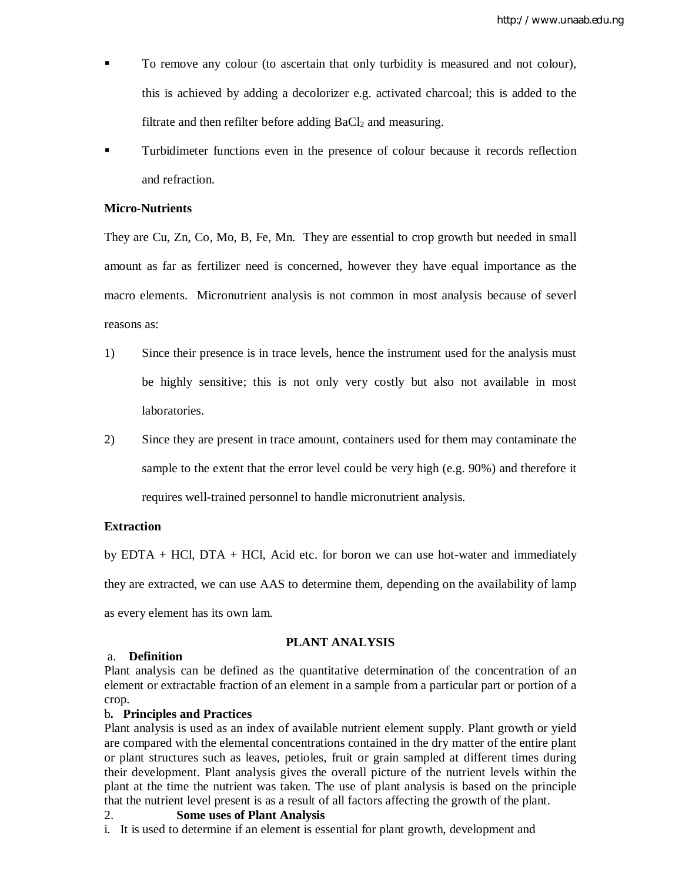- To remove any colour (to ascertain that only turbidity is measured and not colour), this is achieved by adding a decolorizer e.g. activated charcoal; this is added to the filtrate and then refilter before adding  $BaCl<sub>2</sub>$  and measuring.
- Turbidimeter functions even in the presence of colour because it records reflection and refraction.

#### **Micro-Nutrients**

They are Cu, Zn, Co, Mo, B, Fe, Mn. They are essential to crop growth but needed in small amount as far as fertilizer need is concerned, however they have equal importance as the macro elements. Micronutrient analysis is not common in most analysis because of severl reasons as:

- 1) Since their presence is in trace levels, hence the instrument used for the analysis must be highly sensitive; this is not only very costly but also not available in most laboratories.
- 2) Since they are present in trace amount, containers used for them may contaminate the sample to the extent that the error level could be very high (e.g. 90%) and therefore it requires well-trained personnel to handle micronutrient analysis.

#### **Extraction**

by  $EDTA + HCI$ ,  $DTA + HCI$ , Acid etc. for boron we can use hot-water and immediately they are extracted, we can use AAS to determine them, depending on the availability of lamp as every element has its own lam.

#### **PLANT ANALYSIS**

#### a. **Definition**

Plant analysis can be defined as the quantitative determination of the concentration of an element or extractable fraction of an element in a sample from a particular part or portion of a crop.

#### b**. Principles and Practices**

Plant analysis is used as an index of available nutrient element supply. Plant growth or yield are compared with the elemental concentrations contained in the dry matter of the entire plant or plant structures such as leaves, petioles, fruit or grain sampled at different times during their development. Plant analysis gives the overall picture of the nutrient levels within the plant at the time the nutrient was taken. The use of plant analysis is based on the principle that the nutrient level present is as a result of all factors affecting the growth of the plant.

#### 2. **Some uses of Plant Analysis**

i. It is used to determine if an element is essential for plant growth, development and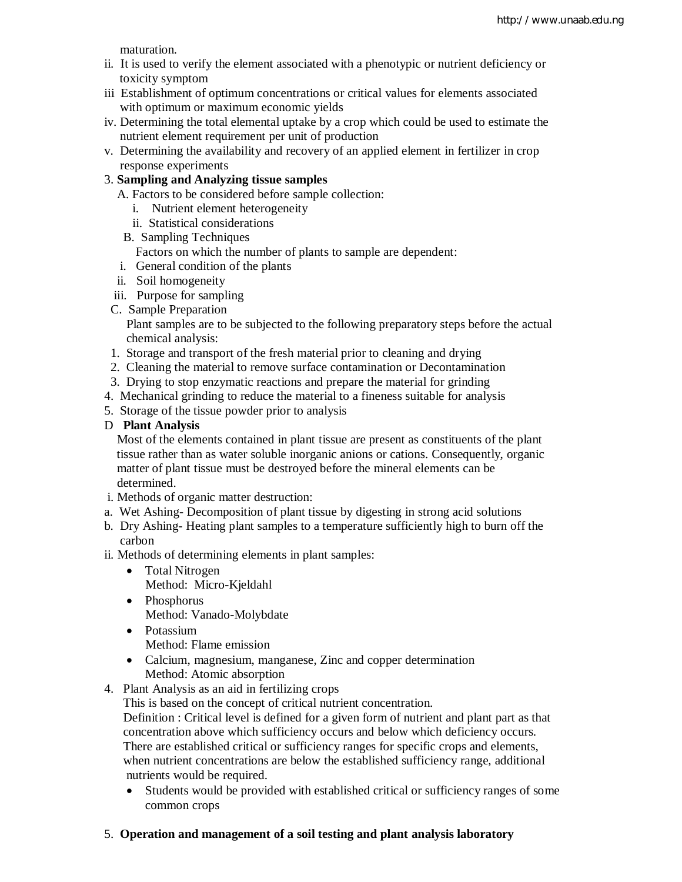maturation.

- ii. It is used to verify the element associated with a phenotypic or nutrient deficiency or toxicity symptom
- iii Establishment of optimum concentrations or critical values for elements associated with optimum or maximum economic yields
- iv. Determining the total elemental uptake by a crop which could be used to estimate the nutrient element requirement per unit of production
- v. Determining the availability and recovery of an applied element in fertilizer in crop response experiments

## 3. **Sampling and Analyzing tissue samples**

- A. Factors to be considered before sample collection:
	- i. Nutrient element heterogeneity
	- ii. Statistical considerations
- B. Sampling Techniques
	- Factors on which the number of plants to sample are dependent:
- i. General condition of the plants
- ii. Soil homogeneity
- iii. Purpose for sampling
- C. Sample Preparation

 Plant samples are to be subjected to the following preparatory steps before the actual chemical analysis:

- 1. Storage and transport of the fresh material prior to cleaning and drying
- 2. Cleaning the material to remove surface contamination or Decontamination
- 3. Drying to stop enzymatic reactions and prepare the material for grinding
- 4. Mechanical grinding to reduce the material to a fineness suitable for analysis
- 5. Storage of the tissue powder prior to analysis

#### D **Plant Analysis**

 Most of the elements contained in plant tissue are present as constituents of the plant tissue rather than as water soluble inorganic anions or cations. Consequently, organic matter of plant tissue must be destroyed before the mineral elements can be determined.

- i. Methods of organic matter destruction:
- a. Wet Ashing- Decomposition of plant tissue by digesting in strong acid solutions
- b. Dry Ashing- Heating plant samples to a temperature sufficiently high to burn off the carbon
- ii. Methods of determining elements in plant samples:
	- Total Nitrogen Method: Micro-Kjeldahl
	- Phosphorus Method: Vanado-Molybdate
	- Potassium
		- Method: Flame emission
	- Calcium, magnesium, manganese, Zinc and copper determination Method: Atomic absorption
- 4. Plant Analysis as an aid in fertilizing crops

This is based on the concept of critical nutrient concentration.

 Definition : Critical level is defined for a given form of nutrient and plant part as that concentration above which sufficiency occurs and below which deficiency occurs. There are established critical or sufficiency ranges for specific crops and elements, when nutrient concentrations are below the established sufficiency range, additional nutrients would be required.

- Students would be provided with established critical or sufficiency ranges of some common crops
- 5. **Operation and management of a soil testing and plant analysis laboratory**